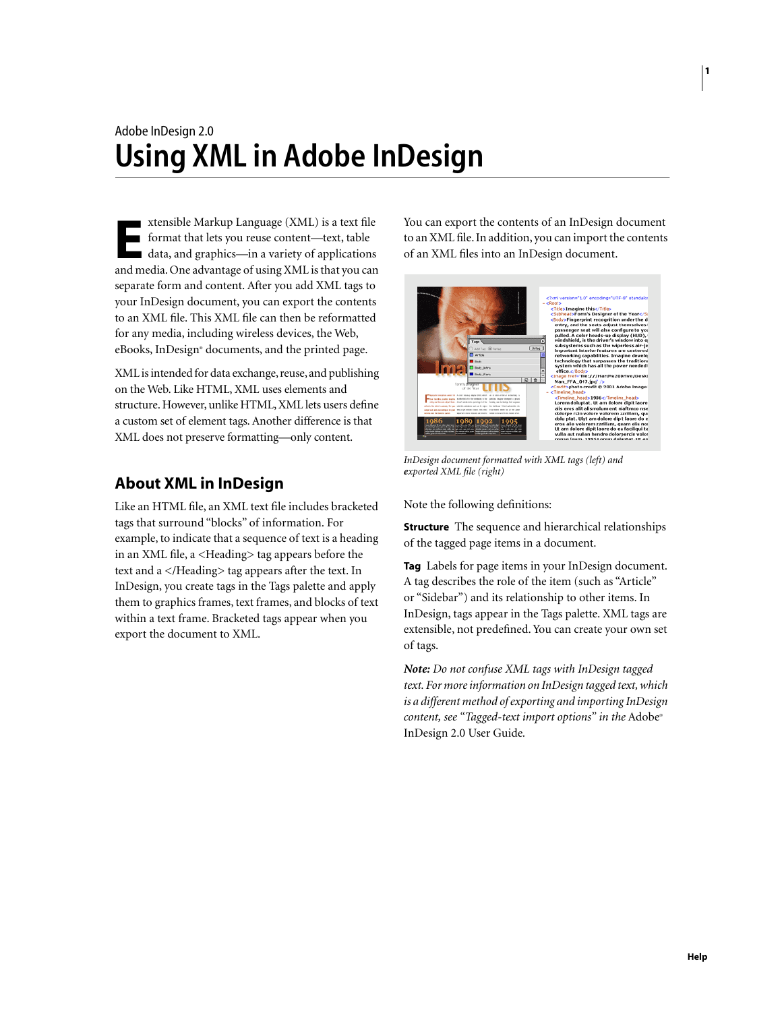# Adobe InDesign 2.0 **Using XML in Adobe InDesign**

xtensible Markup Language (XML) is a text file format that lets you reuse content—text, table data, and graphics—in a variety of applications **EXECUTE MEDIA MEDIA MEDIA EXECUTE:**<br> **EXECUTE:**<br> **EXECUTE:**<br> **EXECUTE:**<br> **EXECUTE:**<br> **EXECUTE:**<br> **EXECUTE:**<br> **EXECUTE:**<br> **EXECUTE:**<br> **EXECUTE:**<br> **EXECUTE:**<br> **EXECUTE:**<br> **EXECUTE:**<br> **EXECUTE:**<br> **EXECUTE:**<br> **EXECUTE:**<br> **EXE** separate form and content. After you add XML tags to your InDesign document, you can export the contents to an XML file. This XML file can then be reformatted for any media, including wireless devices, the Web, eBooks, InDesign® documents, and the printed page.

XML is intended for data exchange, reuse, and publishing on the Web. Like HTML, XML uses elements and structure. However, unlike HTML, XML lets users define a custom set of element tags. Another difference is that XML does not preserve formatting—only content.

## **About XML in InDesign**

Like an HTML file, an XML text file includes bracketed tags that surround "blocks" of information. For example, to indicate that a sequence of text is a heading in an XML file, a <Heading> tag appears before the text and a </Heading> tag appears after the text. In InDesign, you create tags in the Tags palette and apply them to graphics frames, text frames, and blocks of text within a text frame. Bracketed tags appear when you export the document to XML.

You can export the contents of an InDesign document to an XML file. In addition, you can import the contents of an XML files into an InDesign document.



*InDesign document formatted with XML tags (left) and exported XML file (right)*

Note the following definitions:

**Structure** The sequence and hierarchical relationships of the tagged page items in a document.

**Tag** Labels for page items in your InDesign document. A tag describes the role of the item (such as "Article" or "Sidebar") and its relationship to other items. In InDesign, tags appear in the Tags palette. XML tags are extensible, not predefined. You can create your own set of tags.

*Note: Do not confuse XML tags with InDesign tagged text. For more information on InDesign tagged text, which is a different method of exporting and importing InDesign content, see "Tagged-text import options" in the* Adobe® InDesign 2.0 User Guide*.*

**1**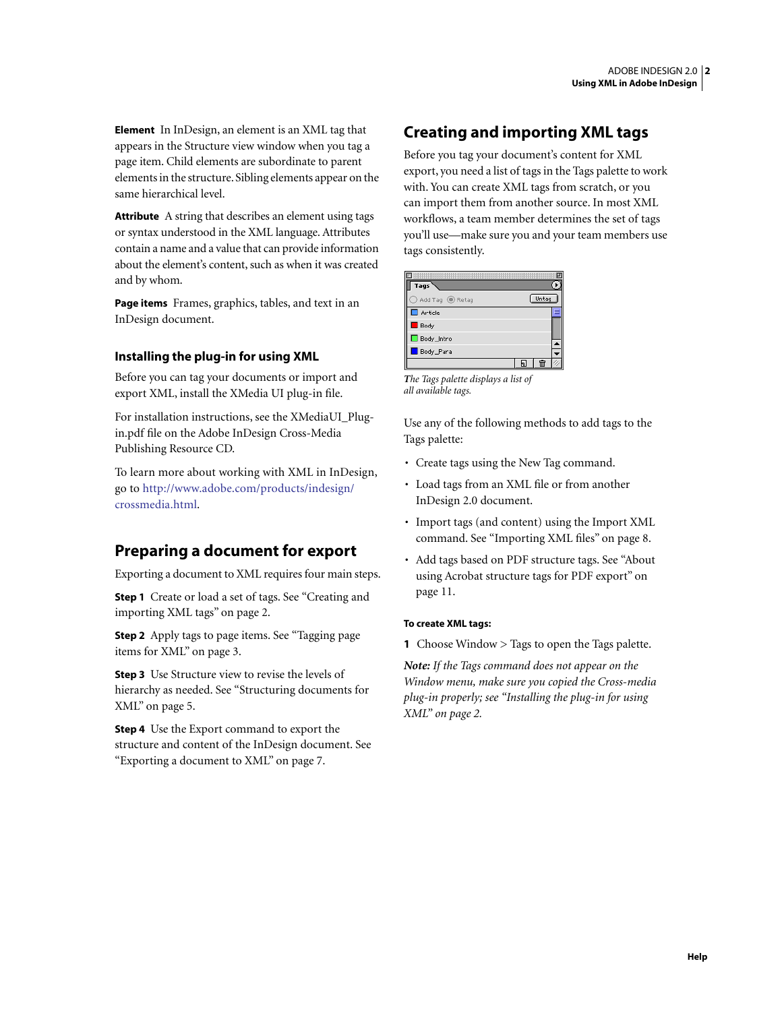**Element** In InDesign, an element is an XML tag that appears in the Structure view window when you tag a page item. Child elements are subordinate to parent elements in the structure. Sibling elements appear on the same hierarchical level.

**Attribute** A string that describes an element using tags or syntax understood in the XML language. Attributes contain a name and a value that can provide information about the element's content, such as when it was created and by whom.

**Page items** Frames, graphics, tables, and text in an InDesign document.

## **Installing the plug-in for using XML**

Before you can tag your documents or import and export XML, install the XMedia UI plug-in file.

For installation instructions, see the XMediaUI\_Plugin.pdf file on the Adobe InDesign Cross-Media Publishing Resource CD.

To learn more about working with XML in InDesign, [go to http://www.adobe.com/products/indesign/](http://www.adobe.com/products/indesign/crossmedia.html) crossmedia.html.

## **Preparing a document for export**

Exporting a document to XML requires four main steps.

**Step 1** Create or load a set of tags. See ["Creating and](#page-1-0)  [importing XML tags" on page 2.](#page-1-0)

**Step 2** Apply tags to page items. See ["Tagging page](#page-2-0)  [items for XML" on page 3.](#page-2-0)

**Step 3** Use Structure view to revise the levels of hierarchy as needed. See ["Structuring documents for](#page-4-0)  [XML" on page 5.](#page-4-0)

**Step 4** Use the Export command to export the structure and content of the InDesign document. See ["Exporting a document to XML" on page 7.](#page-6-0)

## <span id="page-1-0"></span>**Creating and importing XML tags**

Before you tag your document's content for XML export, you need a list of tags in the Tags palette to work with. You can create XML tags from scratch, or you can import them from another source. In most XML workflows, a team member determines the set of tags you'll use—make sure you and your team members use tags consistently.

| Tags                       |       |  |
|----------------------------|-------|--|
| Add Tag <sup>1</sup> Retag | Untag |  |
| Article                    |       |  |
| Body                       |       |  |
| Body_Intro                 |       |  |
| Body_Para                  |       |  |
|                            | m     |  |

*The Tags palette displays a list of all available tags.*

Use any of the following methods to add tags to the Tags palette:

- Create tags using the New Tag command.
- Load tags from an XML file or from another InDesign 2.0 document.
- Import tags (and content) using the Import XML command. See ["Importing XML files" on page 8.](#page-7-0)
- Add tags based on PDF structure tags. See ["About](#page-10-0)  [using Acrobat structure tags for PDF export" on](#page-10-0)  [page 11](#page-10-0).

### **To create XML tags:**

**1** Choose Window > Tags to open the Tags palette.

*Note: If the Tags command does not appear on the Window menu, make sure you copied the Cross-media plug-in properly; see "Installing the plug-in for using XML" on page 2.*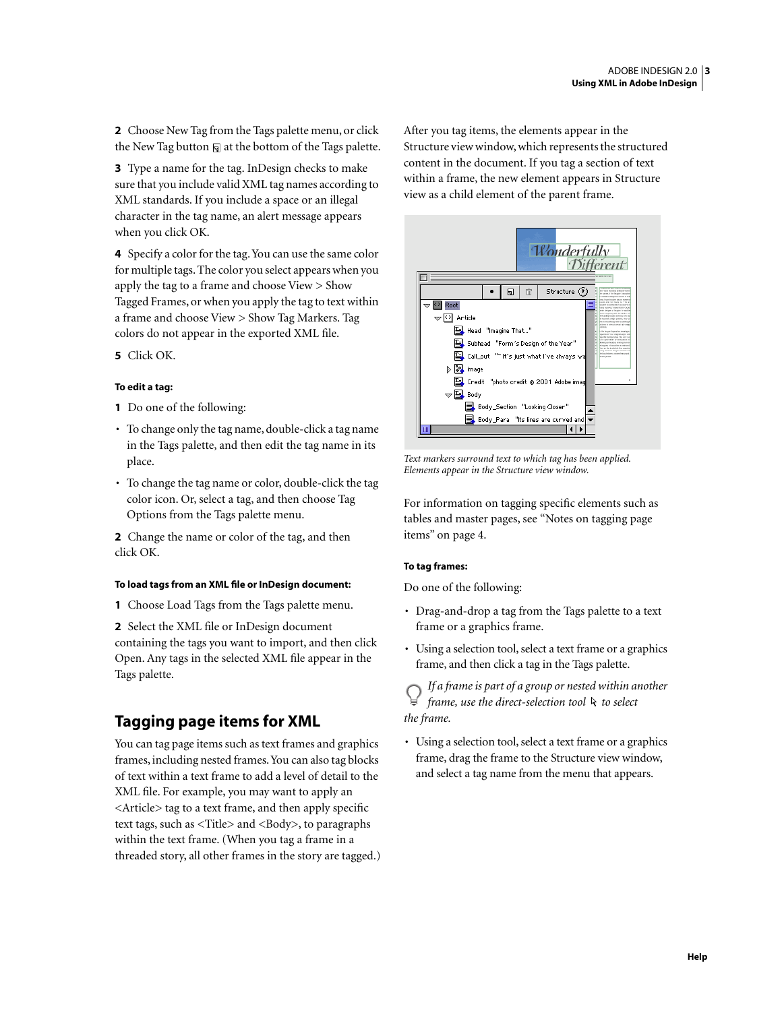**2** Choose New Tag from the Tags palette menu, or click the New Tag button  $\overline{\mathbf{a}}$  at the bottom of the Tags palette.

**3** Type a name for the tag. InDesign checks to make sure that you include valid XML tag names according to XML standards. If you include a space or an illegal character in the tag name, an alert message appears when you click OK.

**4** Specify a color for the tag. You can use the same color for multiple tags. The color you select appears when you apply the tag to a frame and choose View > Show Tagged Frames, or when you apply the tag to text within a frame and choose View > Show Tag Markers. Tag colors do not appear in the exported XML file.

**5** Click OK.

#### **To edit a tag:**

- **1** Do one of the following:
- To change only the tag name, double-click a tag name in the Tags palette, and then edit the tag name in its place.
- To change the tag name or color, double-click the tag color icon. Or, select a tag, and then choose Tag Options from the Tags palette menu.

**2** Change the name or color of the tag, and then click OK.

#### **To load tags from an XML file or InDesign document:**

**1** Choose Load Tags from the Tags palette menu.

**2** Select the XML file or InDesign document containing the tags you want to import, and then click Open. Any tags in the selected XML file appear in the Tags palette.

## <span id="page-2-0"></span>**Tagging page items for XML**

You can tag page items such as text frames and graphics frames, including nested frames. You can also tag blocks of text within a text frame to add a level of detail to the XML file. For example, you may want to apply an <Article> tag to a text frame, and then apply specific text tags, such as <Title> and <Body>, to paragraphs within the text frame. (When you tag a frame in a threaded story, all other frames in the story are tagged.) After you tag items, the elements appear in the Structure view window, which represents the structured content in the document. If you tag a section of text within a frame, the new element appears in Structure view as a child element of the parent frame.



*Text markers surround text to which tag has been applied. Elements appear in the Structure view window.*

For information on tagging specific elements such as tables and master pages, see ["Notes on tagging page](#page-3-0)  [items" on page 4.](#page-3-0)

#### **To tag frames:**

Do one of the following:

- Drag-and-drop a tag from the Tags palette to a text frame or a graphics frame.
- Using a selection tool, select a text frame or a graphics frame, and then click a tag in the Tags palette.

*If a frame is part of a group or nested within another*  frame, use the direct-selection tool  $k$  to select *the frame.*

• Using a selection tool, select a text frame or a graphics frame, drag the frame to the Structure view window, and select a tag name from the menu that appears.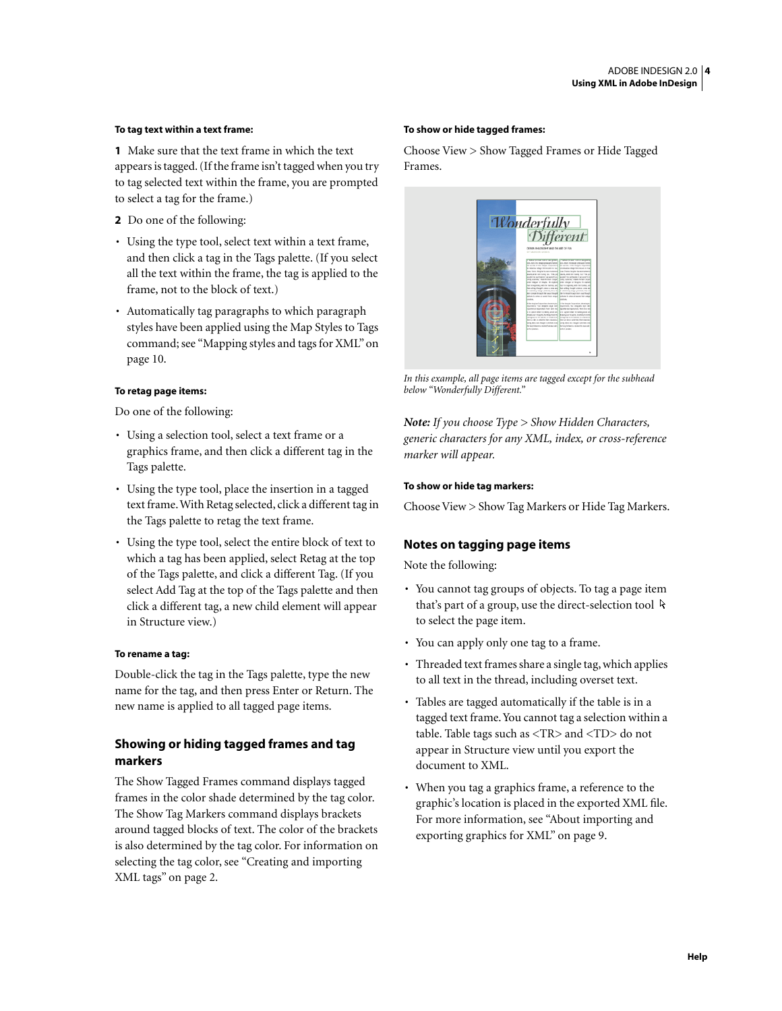#### **To tag text within a text frame:**

**1** Make sure that the text frame in which the text appears is tagged. (If the frame isn't tagged when you try to tag selected text within the frame, you are prompted to select a tag for the frame.)

- **2** Do one of the following:
- Using the type tool, select text within a text frame, and then click a tag in the Tags palette. (If you select all the text within the frame, the tag is applied to the frame, not to the block of text.)
- Automatically tag paragraphs to which paragraph styles have been applied using the Map Styles to Tags command; see ["Mapping styles and tags for XML" on](#page-9-0)  [page 10](#page-9-0).

#### **To retag page items:**

Do one of the following:

- Using a selection tool, select a text frame or a graphics frame, and then click a different tag in the Tags palette.
- Using the type tool, place the insertion in a tagged text frame. With Retag selected, click a different tag in the Tags palette to retag the text frame.
- Using the type tool, select the entire block of text to which a tag has been applied, select Retag at the top of the Tags palette, and click a different Tag. (If you select Add Tag at the top of the Tags palette and then click a different tag, a new child element will appear in Structure view.)

### **To rename a tag:**

Double-click the tag in the Tags palette, type the new name for the tag, and then press Enter or Return. The new name is applied to all tagged page items.

## **Showing or hiding tagged frames and tag markers**

The Show Tagged Frames command displays tagged frames in the color shade determined by the tag color. The Show Tag Markers command displays brackets around tagged blocks of text. The color of the brackets is also determined by the tag color. For information on selecting the tag color, see ["Creating and importing](#page-1-0)  [XML tags" on page 2.](#page-1-0)

#### **To show or hide tagged frames:**

Choose View > Show Tagged Frames or Hide Tagged Frames.



*In this example, all page items are tagged except for the subhead below "Wonderfully Different."*

*Note: If you choose Type > Show Hidden Characters, generic characters for any XML, index, or cross-reference marker will appear.*

#### **To show or hide tag markers:**

Choose View > Show Tag Markers or Hide Tag Markers.

### <span id="page-3-0"></span>**Notes on tagging page items**

Note the following:

- You cannot tag groups of objects. To tag a page item that's part of a group, use the direct-selection tool  $\,$ to select the page item.
- You can apply only one tag to a frame.
- Threaded text frames share a single tag, which applies to all text in the thread, including overset text.
- Tables are tagged automatically if the table is in a tagged text frame. You cannot tag a selection within a table. Table tags such as <TR> and <TD> do not appear in Structure view until you export the document to XML.
- When you tag a graphics frame, a reference to the graphic's location is placed in the exported XML file. For more information, see ["About importing and](#page-8-0)  [exporting graphics for XML" on page 9](#page-8-0).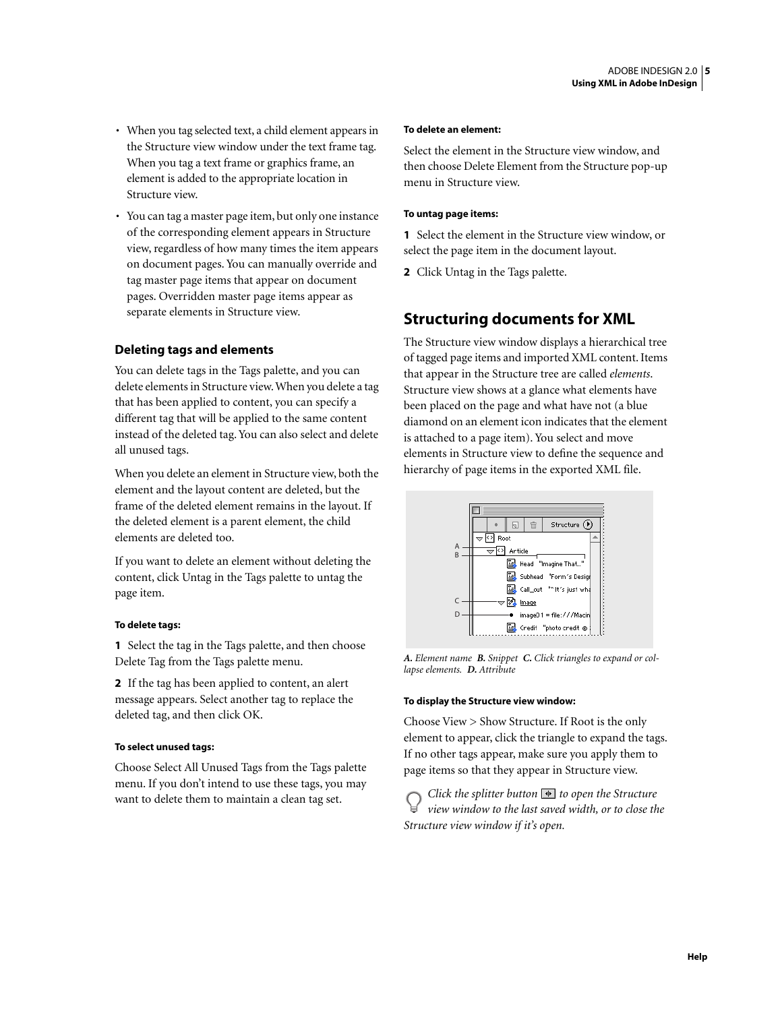- When you tag selected text, a child element appears in the Structure view window under the text frame tag. When you tag a text frame or graphics frame, an element is added to the appropriate location in Structure view.
- You can tag a master page item, but only one instance of the corresponding element appears in Structure view, regardless of how many times the item appears on document pages. You can manually override and tag master page items that appear on document pages. Overridden master page items appear as separate elements in Structure view.

## **Deleting tags and elements**

You can delete tags in the Tags palette, and you can delete elements in Structure view. When you delete a tag that has been applied to content, you can specify a different tag that will be applied to the same content instead of the deleted tag. You can also select and delete all unused tags.

When you delete an element in Structure view, both the element and the layout content are deleted, but the frame of the deleted element remains in the layout. If the deleted element is a parent element, the child elements are deleted too.

If you want to delete an element without deleting the content, click Untag in the Tags palette to untag the page item.

#### **To delete tags:**

**1** Select the tag in the Tags palette, and then choose Delete Tag from the Tags palette menu.

**2** If the tag has been applied to content, an alert message appears. Select another tag to replace the deleted tag, and then click OK.

### **To select unused tags:**

Choose Select All Unused Tags from the Tags palette menu. If you don't intend to use these tags, you may want to delete them to maintain a clean tag set.

#### **To delete an element:**

Select the element in the Structure view window, and then choose Delete Element from the Structure pop-up menu in Structure view.

### **To untag page items:**

**1** Select the element in the Structure view window, or select the page item in the document layout.

**2** Click Untag in the Tags palette.

## <span id="page-4-0"></span>**Structuring documents for XML**

The Structure view window displays a hierarchical tree of tagged page items and imported XML content. Items that appear in the Structure tree are called *elements*. Structure view shows at a glance what elements have been placed on the page and what have not (a blue diamond on an element icon indicates that the element is attached to a page item). You select and move elements in Structure view to define the sequence and hierarchy of page items in the exported XML file.



*A. Element name B. Snippet C. Click triangles to expand or collapse elements. D. Attribute*

#### **To display the Structure view window:**

Choose View > Show Structure. If Root is the only element to appear, click the triangle to expand the tags. If no other tags appear, make sure you apply them to page items so that they appear in Structure view.

*Click the splitter button*  $\blacklozenge$  *to open the Structure view window to the last saved width, or to close the Structure view window if it's open.*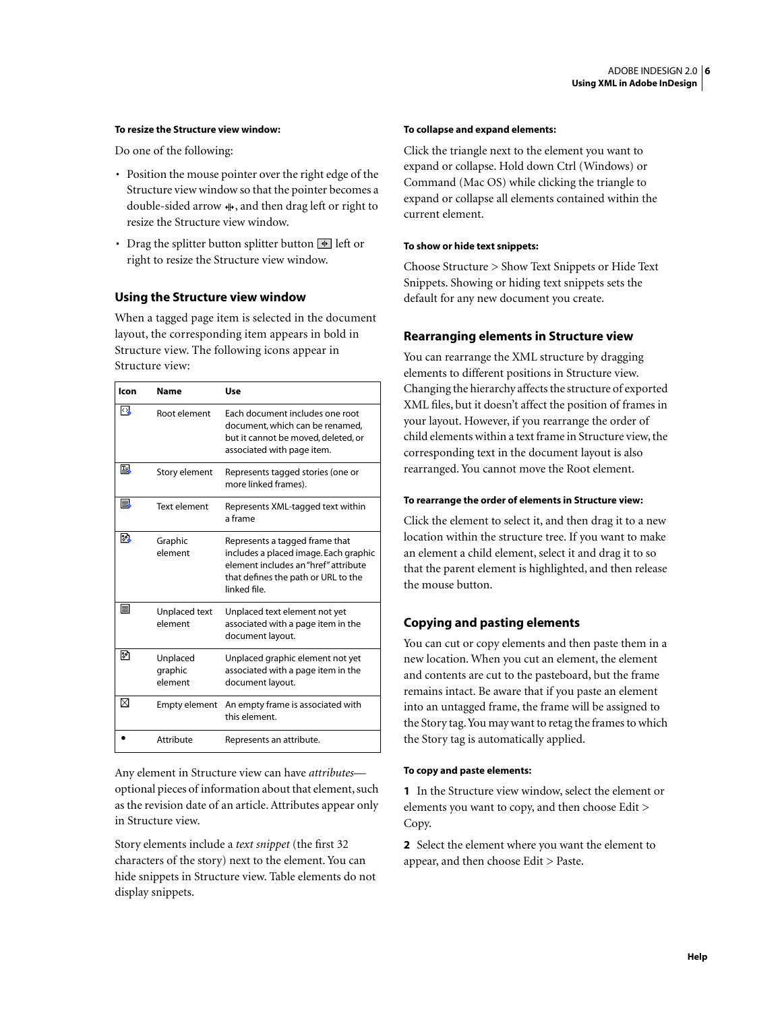#### **To resize the Structure view window:**

Do one of the following:

- Position the mouse pointer over the right edge of the Structure view window so that the pointer becomes a double-sided arrow  $\psi$ , and then drag left or right to resize the Structure view window.
- Drag the splitter button splitter button  $\blacksquare$  left or right to resize the Structure view window.

#### **Using the Structure view window**

When a tagged page item is selected in the document layout, the corresponding item appears in bold in Structure view. The following icons appear in Structure view:

| Icon | <b>Name</b>                    | Use                                                                                                                                                                    |
|------|--------------------------------|------------------------------------------------------------------------------------------------------------------------------------------------------------------------|
| kγ   | Root element                   | Each document includes one root<br>document, which can be renamed,<br>but it cannot be moved, deleted, or<br>associated with page item.                                |
| Ŀ.   | Story element                  | Represents tagged stories (one or<br>more linked frames).                                                                                                              |
| B    | <b>Text element</b>            | Represents XML-tagged text within<br>a frame                                                                                                                           |
| ₽    | Graphic<br>element             | Represents a tagged frame that<br>includes a placed image. Each graphic<br>element includes an "href" attribute<br>that defines the path or URL to the<br>linked file. |
| ▤    | Unplaced text<br>element       | Unplaced text element not yet<br>associated with a page item in the<br>document layout.                                                                                |
| 郾    | Unplaced<br>graphic<br>element | Unplaced graphic element not yet<br>associated with a page item in the<br>document layout.                                                                             |
| ⊠    | <b>Empty element</b>           | An empty frame is associated with<br>this element.                                                                                                                     |
|      | Attribute                      | Represents an attribute.                                                                                                                                               |

Any element in Structure view can have *attributes* optional pieces of information about that element, such as the revision date of an article. Attributes appear only in Structure view.

Story elements include a *text snippet* (the first 32 characters of the story) next to the element. You can hide snippets in Structure view. Table elements do not display snippets.

#### **To collapse and expand elements:**

Click the triangle next to the element you want to expand or collapse. Hold down Ctrl (Windows) or Command (Mac OS) while clicking the triangle to expand or collapse all elements contained within the current element.

#### **To show or hide text snippets:**

Choose Structure > Show Text Snippets or Hide Text Snippets. Showing or hiding text snippets sets the default for any new document you create.

## **Rearranging elements in Structure view**

You can rearrange the XML structure by dragging elements to different positions in Structure view. Changing the hierarchy affects the structure of exported XML files, but it doesn't affect the position of frames in your layout. However, if you rearrange the order of child elements within a text frame in Structure view, the corresponding text in the document layout is also rearranged. You cannot move the Root element.

#### **To rearrange the order of elements in Structure view:**

Click the element to select it, and then drag it to a new location within the structure tree. If you want to make an element a child element, select it and drag it to so that the parent element is highlighted, and then release the mouse button.

#### **Copying and pasting elements**

You can cut or copy elements and then paste them in a new location. When you cut an element, the element and contents are cut to the pasteboard, but the frame remains intact. Be aware that if you paste an element into an untagged frame, the frame will be assigned to the Story tag. You may want to retag the frames to which the Story tag is automatically applied.

#### **To copy and paste elements:**

**1** In the Structure view window, select the element or elements you want to copy, and then choose Edit > Copy.

**2** Select the element where you want the element to appear, and then choose Edit > Paste.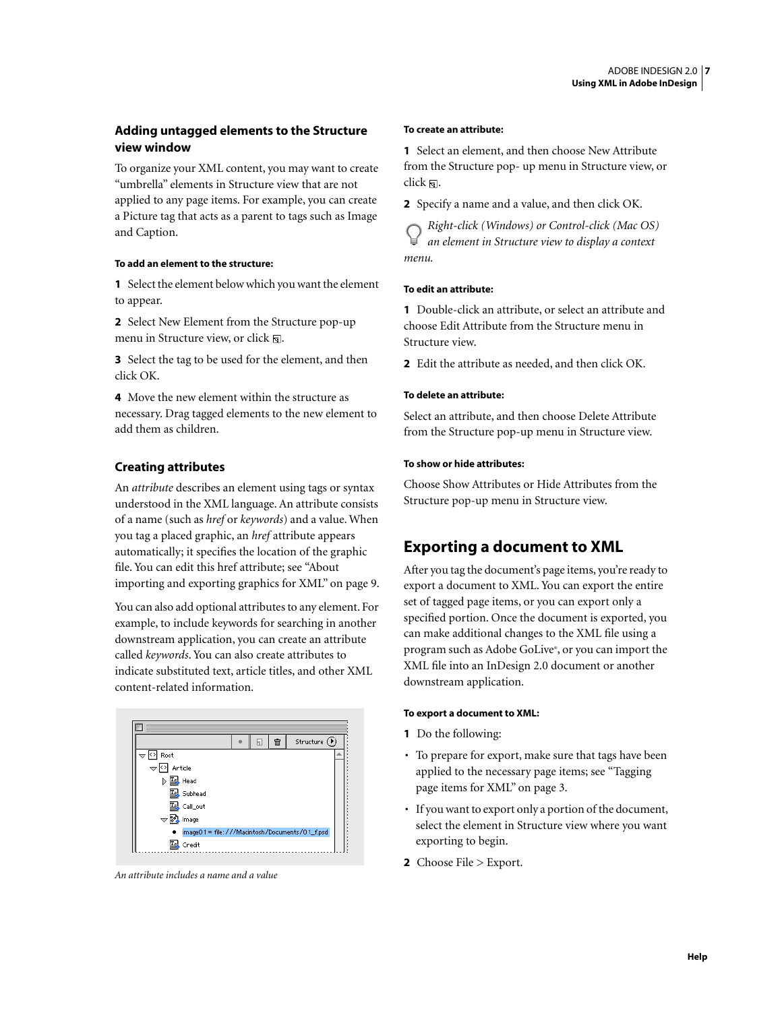## **Adding untagged elements to the Structure view window**

To organize your XML content, you may want to create "umbrella" elements in Structure view that are not applied to any page items. For example, you can create a Picture tag that acts as a parent to tags such as Image and Caption.

#### **To add an element to the structure:**

**1** Select the element below which you want the element to appear.

**2** Select New Element from the Structure pop-up menu in Structure view, or click  $\mathbf{a}$ .

**3** Select the tag to be used for the element, and then click OK.

**4** Move the new element within the structure as necessary. Drag tagged elements to the new element to add them as children.

## **Creating attributes**

An *attribute* describes an element using tags or syntax understood in the XML language. An attribute consists of a name (such as *href* or *keywords*) and a value. When you tag a placed graphic, an *href* attribute appears automatically; it specifies the location of the graphic file. You can edit this href attribute; see ["About](#page-8-0)  [importing and exporting graphics for XML" on page 9](#page-8-0).

You can also add optional attributes to any element. For example, to include keywords for searching in another downstream application, you can create an attribute called *keywords*. You can also create attributes to indicate substituted text, article titles, and other XML content-related information.



*An attribute includes a name and a value*

#### **To create an attribute:**

**1** Select an element, and then choose New Attribute from the Structure pop- up menu in Structure view, or click  $\Box$ .

**2** Specify a name and a value, and then click OK.

*Right-click (Windows) or Control-click (Mac OS) an element in Structure view to display a context menu.*

#### **To edit an attribute:**

**1** Double-click an attribute, or select an attribute and choose Edit Attribute from the Structure menu in Structure view.

**2** Edit the attribute as needed, and then click OK.

#### **To delete an attribute:**

Select an attribute, and then choose Delete Attribute from the Structure pop-up menu in Structure view.

### **To show or hide attributes:**

Choose Show Attributes or Hide Attributes from the Structure pop-up menu in Structure view.

## <span id="page-6-0"></span>**Exporting a document to XML**

After you tag the document's page items, you're ready to export a document to XML. You can export the entire set of tagged page items, or you can export only a specified portion. Once the document is exported, you can make additional changes to the XML file using a program such as Adobe GoLive®, or you can import the XML file into an InDesign 2.0 document or another downstream application.

#### **To export a document to XML:**

- **1** Do the following:
- To prepare for export, make sure that tags have been applied to the necessary page items; see ["Tagging](#page-2-0)  [page items for XML" on page 3](#page-2-0).
- If you want to export only a portion of the document, select the element in Structure view where you want exporting to begin.
- **2** Choose File > Export.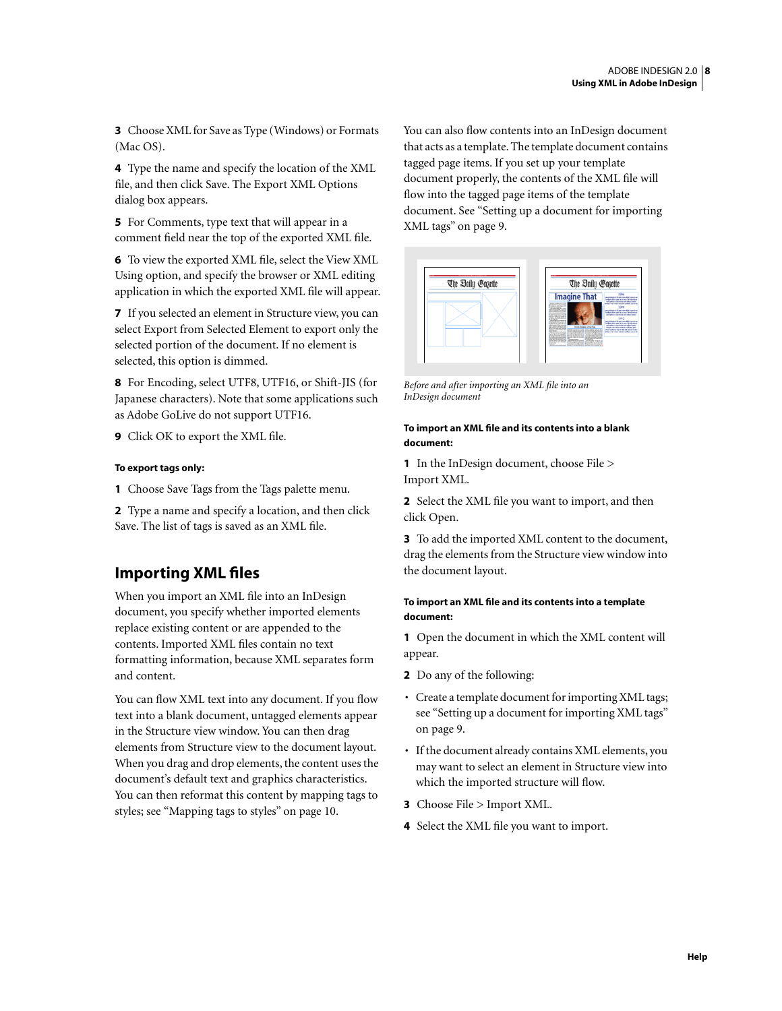**3** Choose XML for Save as Type (Windows) or Formats (Mac OS).

**4** Type the name and specify the location of the XML file, and then click Save. The Export XML Options dialog box appears.

**5** For Comments, type text that will appear in a comment field near the top of the exported XML file.

**6** To view the exported XML file, select the View XML Using option, and specify the browser or XML editing application in which the exported XML file will appear.

**7** If you selected an element in Structure view, you can select Export from Selected Element to export only the selected portion of the document. If no element is selected, this option is dimmed.

**8** For Encoding, select UTF8, UTF16, or Shift-JIS (for Japanese characters). Note that some applications such as Adobe GoLive do not support UTF16.

**9** Click OK to export the XML file.

#### **To export tags only:**

**1** Choose Save Tags from the Tags palette menu.

**2** Type a name and specify a location, and then click Save. The list of tags is saved as an XML file.

## <span id="page-7-0"></span>**Importing XML files**

When you import an XML file into an InDesign document, you specify whether imported elements replace existing content or are appended to the contents. Imported XML files contain no text formatting information, because XML separates form and content.

You can flow XML text into any document. If you flow text into a blank document, untagged elements appear in the Structure view window. You can then drag elements from Structure view to the document layout. When you drag and drop elements, the content uses the document's default text and graphics characteristics. You can then reformat this content by mapping tags to styles; see ["Mapping tags to styles" on page 10.](#page-9-1)

You can also flow contents into an InDesign document that acts as a template. The template document contains tagged page items. If you set up your template document properly, the contents of the XML file will flow into the tagged page items of the template document. See ["Setting up a document for importing](#page-8-1)  [XML tags" on page 9.](#page-8-1)



*Before and after importing an XML file into an InDesign document*

#### **To import an XML file and its contents into a blank document:**

**1** In the InDesign document, choose File > Import XML.

**2** Select the XML file you want to import, and then click Open.

**3** To add the imported XML content to the document, drag the elements from the Structure view window into the document layout.

#### **To import an XML file and its contents into a template document:**

**1** Open the document in which the XML content will appear.

- **2** Do any of the following:
- Create a template document for importing XML tags; see ["Setting up a document for importing XML tags"](#page-8-1)  [on page 9](#page-8-1).
- If the document already contains XML elements, you may want to select an element in Structure view into which the imported structure will flow.
- **3** Choose File > Import XML.
- **4** Select the XML file you want to import.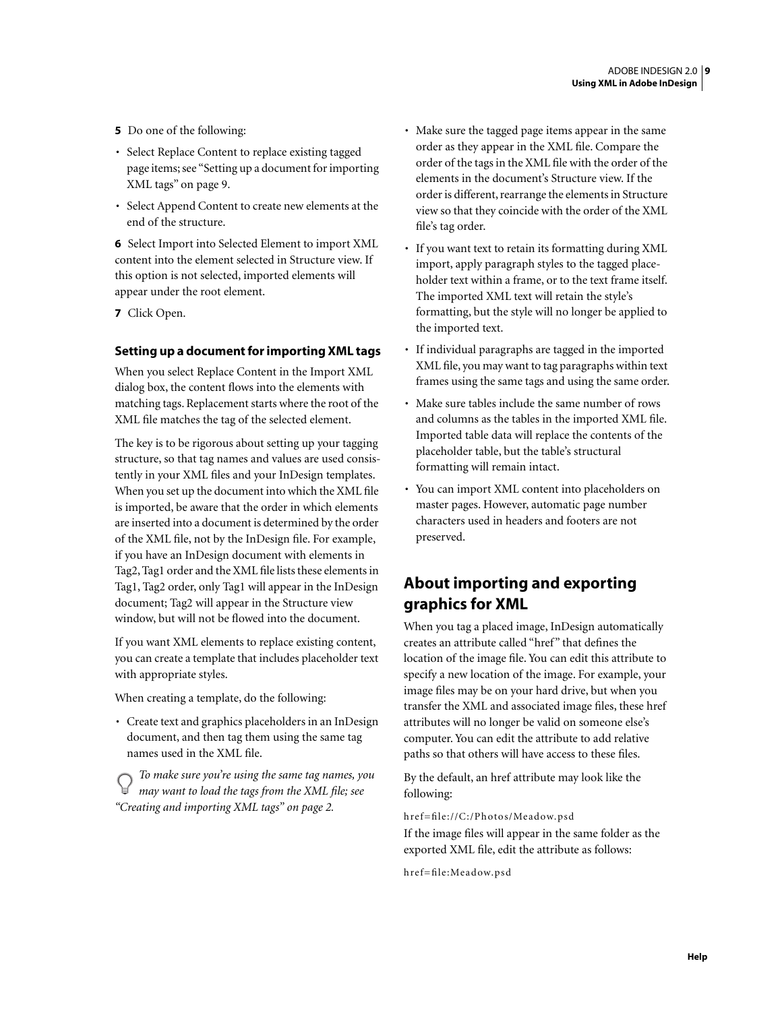- **5** Do one of the following:
- Select Replace Content to replace existing tagged page items; see ["Setting up a document for importing](#page-8-1)  [XML tags" on page 9](#page-8-1).
- Select Append Content to create new elements at the end of the structure.

**6** Select Import into Selected Element to import XML content into the element selected in Structure view. If this option is not selected, imported elements will appear under the root element.

**7** Click Open.

### <span id="page-8-1"></span>**Setting up a document for importing XML tags**

When you select Replace Content in the Import XML dialog box, the content flows into the elements with matching tags. Replacement starts where the root of the XML file matches the tag of the selected element.

The key is to be rigorous about setting up your tagging structure, so that tag names and values are used consistently in your XML files and your InDesign templates. When you set up the document into which the XML file is imported, be aware that the order in which elements are inserted into a document is determined by the order of the XML file, not by the InDesign file. For example, if you have an InDesign document with elements in Tag2, Tag1 order and the XML file lists these elements in Tag1, Tag2 order, only Tag1 will appear in the InDesign document; Tag2 will appear in the Structure view window, but will not be flowed into the document.

If you want XML elements to replace existing content, you can create a template that includes placeholder text with appropriate styles.

When creating a template, do the following:

• Create text and graphics placeholders in an InDesign document, and then tag them using the same tag names used in the XML file.

*To make sure you're using the same tag names, you may want to load the tags from the XML file; see ["Creating and importing XML tags" on page 2](#page-1-0).*

- Make sure the tagged page items appear in the same order as they appear in the XML file. Compare the order of the tags in the XML file with the order of the elements in the document's Structure view. If the order is different, rearrange the elements in Structure view so that they coincide with the order of the XML file's tag order.
- If you want text to retain its formatting during XML import, apply paragraph styles to the tagged placeholder text within a frame, or to the text frame itself. The imported XML text will retain the style's formatting, but the style will no longer be applied to the imported text.
- If individual paragraphs are tagged in the imported XML file, you may want to tag paragraphs within text frames using the same tags and using the same order.
- Make sure tables include the same number of rows and columns as the tables in the imported XML file. Imported table data will replace the contents of the placeholder table, but the table's structural formatting will remain intact.
- You can import XML content into placeholders on master pages. However, automatic page number characters used in headers and footers are not preserved.

## <span id="page-8-0"></span>**About importing and exporting graphics for XML**

When you tag a placed image, InDesign automatically creates an attribute called "href" that defines the location of the image file. You can edit this attribute to specify a new location of the image. For example, your image files may be on your hard drive, but when you transfer the XML and associated image files, these href attributes will no longer be valid on someone else's computer. You can edit the attribute to add relative paths so that others will have access to these files.

By the default, an href attribute may look like the following:

href=file://C:/Photos/Meadow.psd If the image files will appear in the same folder as the exported XML file, edit the attribute as follows:

href=file:Meadow.psd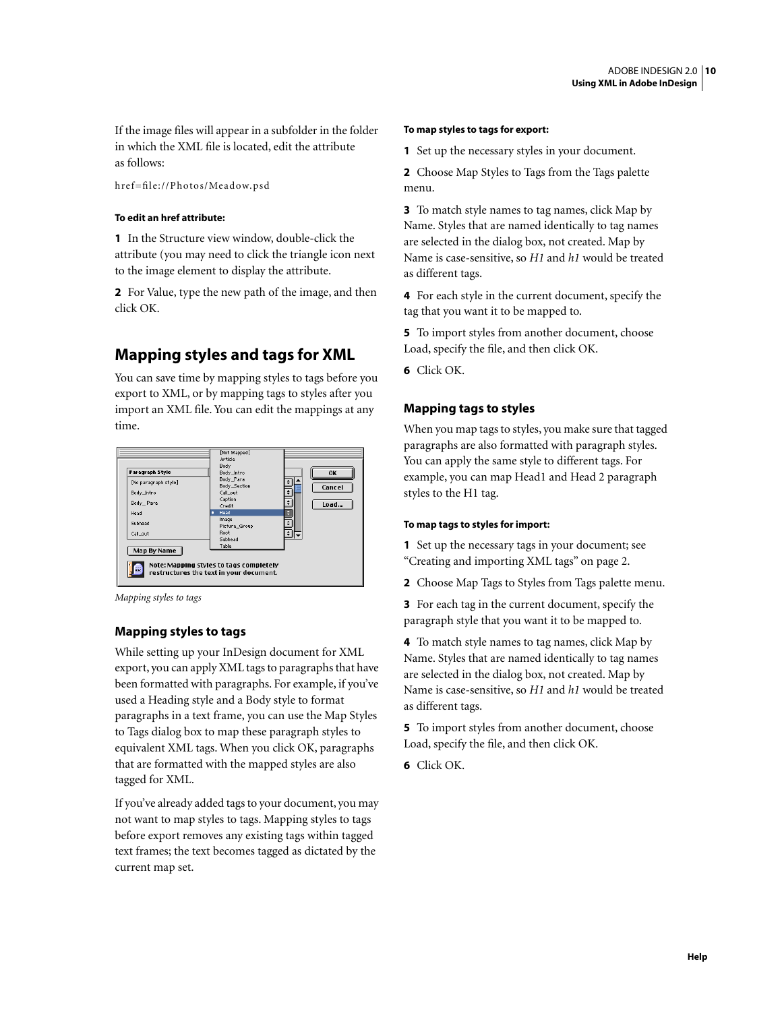If the image files will appear in a subfolder in the folder in which the XML file is located, edit the attribute as follows:

href=file://Photos/Meadow.psd

#### **To edit an href attribute:**

**1** In the Structure view window, double-click the attribute (you may need to click the triangle icon next to the image element to display the attribute.

**2** For Value, type the new path of the image, and then click OK.

## <span id="page-9-0"></span>**Mapping styles and tags for XML**

You can save time by mapping styles to tags before you export to XML, or by mapping tags to styles after you import an XML file. You can edit the mappings at any time.



*Mapping styles to tags*

### **Mapping styles to tags**

While setting up your InDesign document for XML export, you can apply XML tags to paragraphs that have been formatted with paragraphs. For example, if you've used a Heading style and a Body style to format paragraphs in a text frame, you can use the Map Styles to Tags dialog box to map these paragraph styles to equivalent XML tags. When you click OK, paragraphs that are formatted with the mapped styles are also tagged for XML.

If you've already added tags to your document, you may not want to map styles to tags. Mapping styles to tags before export removes any existing tags within tagged text frames; the text becomes tagged as dictated by the current map set.

#### **To map styles to tags for export:**

**1** Set up the necessary styles in your document.

**2** Choose Map Styles to Tags from the Tags palette menu.

**3** To match style names to tag names, click Map by Name. Styles that are named identically to tag names are selected in the dialog box, not created. Map by Name is case-sensitive, so *H1* and *h1* would be treated as different tags.

**4** For each style in the current document, specify the tag that you want it to be mapped to.

- **5** To import styles from another document, choose Load, specify the file, and then click OK.
- **6** Click OK.

### <span id="page-9-1"></span>**Mapping tags to styles**

When you map tags to styles, you make sure that tagged paragraphs are also formatted with paragraph styles. You can apply the same style to different tags. For example, you can map Head1 and Head 2 paragraph styles to the H1 tag.

#### **To map tags to styles for import:**

**1** Set up the necessary tags in your document; see ["Creating and importing XML tags" on page 2](#page-1-0).

**2** Choose Map Tags to Styles from Tags palette menu.

**3** For each tag in the current document, specify the paragraph style that you want it to be mapped to.

**4** To match style names to tag names, click Map by Name. Styles that are named identically to tag names are selected in the dialog box, not created. Map by Name is case-sensitive, so *H1* and *h1* would be treated as different tags.

**5** To import styles from another document, choose Load, specify the file, and then click OK.

**6** Click OK.